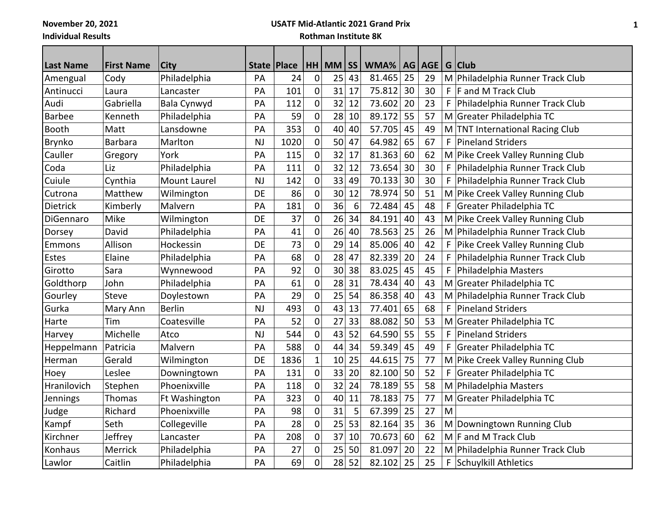**November 20, 2021**

# **USATF Mid-Atlantic 2021 Grand Prix**

**Individual Results**

**Rothman Institute 8K**

| <b>Last Name</b> | <b>First Name</b> | <b>City</b>         | State   Place |      |             | $HH$ MM $\vert$ SS |    | WMA%   |    | AG AGE |    | G Club                               |
|------------------|-------------------|---------------------|---------------|------|-------------|--------------------|----|--------|----|--------|----|--------------------------------------|
| Amengual         | Cody              | Philadelphia        | PA            | 24   | $\mathbf 0$ | 25                 | 43 | 81.465 | 25 | 29     |    | M Philadelphia Runner Track Club     |
| Antinucci        | Laura             | Lancaster           | PA            | 101  | 0           | 31                 | 17 | 75.812 | 30 | 30     |    | $F$ F and M Track Club               |
| Audi             | Gabriella         | Bala Cynwyd         | PA            | 112  | $\mathbf 0$ | 32                 | 12 | 73.602 | 20 | 23     | F  | Philadelphia Runner Track Club       |
| <b>Barbee</b>    | Kenneth           | Philadelphia        | PA            | 59   | 0           | 28                 | 10 | 89.172 | 55 | 57     |    | M Greater Philadelphia TC            |
| Booth            | Matt              | Lansdowne           | PA            | 353  | 0           | 40                 | 40 | 57.705 | 45 | 49     | M  | <b>TNT International Racing Club</b> |
| Brynko           | Barbara           | Marlton             | <b>NJ</b>     | 1020 | $\pmb{0}$   | 50                 | 47 | 64.982 | 65 | 67     | F  | Pineland Striders                    |
| Cauller          | Gregory           | York                | PA            | 115  | 0           | 32                 | 17 | 81.363 | 60 | 62     | M  | Pike Creek Valley Running Club       |
| Coda             | Liz               | Philadelphia        | PA            | 111  | $\mathbf 0$ | 32                 | 12 | 73.654 | 30 | 30     |    | F   Philadelphia Runner Track Club   |
| Cuiule           | Cynthia           | <b>Mount Laurel</b> | <b>NJ</b>     | 142  | 0           | 33                 | 49 | 70.133 | 30 | 30     | F. | Philadelphia Runner Track Club       |
| Cutrona          | Matthew           | Wilmington          | <b>DE</b>     | 86   | 0           | 30                 | 12 | 78.974 | 50 | 51     | M  | Pike Creek Valley Running Club       |
| Dietrick         | Kimberly          | Malvern             | PA            | 181  | $\mathbf 0$ | 36                 | 6  | 72.484 | 45 | 48     | F  | Greater Philadelphia TC              |
| DiGennaro        | Mike              | Wilmington          | <b>DE</b>     | 37   | 0           | 26                 | 34 | 84.191 | 40 | 43     |    | M Pike Creek Valley Running Club     |
| Dorsey           | David             | Philadelphia        | PA            | 41   | $\mathbf 0$ | 26                 | 40 | 78.563 | 25 | 26     | M  | Philadelphia Runner Track Club       |
| Emmons           | Allison           | Hockessin           | <b>DE</b>     | 73   | 0           | 29                 | 14 | 85.006 | 40 | 42     | F. | Pike Creek Valley Running Club       |
| Estes            | Elaine            | Philadelphia        | PA            | 68   | 0           | 28                 | 47 | 82.339 | 20 | 24     | F. | Philadelphia Runner Track Club       |
| Girotto          | Sara              | Wynnewood           | PA            | 92   | $\mathbf 0$ | 30                 | 38 | 83.025 | 45 | 45     | F  | Philadelphia Masters                 |
| Goldthorp        | John              | Philadelphia        | PA            | 61   | $\mathbf 0$ | 28                 | 31 | 78.434 | 40 | 43     |    | M Greater Philadelphia TC            |
| Gourley          | <b>Steve</b>      | Doylestown          | PA            | 29   | 0           | 25                 | 54 | 86.358 | 40 | 43     | M  | Philadelphia Runner Track Club       |
| Gurka            | Mary Ann          | <b>Berlin</b>       | <b>NJ</b>     | 493  | 0           | 43                 | 13 | 77.401 | 65 | 68     | F. | <b>Pineland Striders</b>             |
| Harte            | Tim               | Coatesville         | PA            | 52   | $\mathbf 0$ | 27                 | 33 | 88.082 | 50 | 53     | M  | Greater Philadelphia TC              |
| Harvey           | Michelle          | Atco                | <b>NJ</b>     | 544  | $\pmb{0}$   | 43                 | 52 | 64.590 | 55 | 55     | F  | <b>Pineland Striders</b>             |
| Heppelmann       | Patricia          | Malvern             | PA            | 588  | 0           | 44                 | 34 | 59.349 | 45 | 49     | F. | Greater Philadelphia TC              |
| Herman           | Gerald            | Wilmington          | <b>DE</b>     | 1836 | $\mathbf 1$ | 10                 | 25 | 44.615 | 75 | 77     |    | M Pike Creek Valley Running Club     |
| Hoey             | Leslee            | Downingtown         | PA            | 131  | 0           | 33                 | 20 | 82.100 | 50 | 52     | F  | Greater Philadelphia TC              |
| Hranilovich      | Stephen           | Phoenixville        | PA            | 118  | $\pmb{0}$   | 32                 | 24 | 78.189 | 55 | 58     |    | M Philadelphia Masters               |
| Jennings         | Thomas            | Ft Washington       | PA            | 323  | $\mathbf 0$ | 40                 | 11 | 78.183 | 75 | 77     | M  | Greater Philadelphia TC              |
| Judge            | Richard           | Phoenixville        | PA            | 98   | 0           | 31                 | 5  | 67.399 | 25 | 27     | M  |                                      |
| Kampf            | Seth              | Collegeville        | PA            | 28   | $\mathbf 0$ | 25                 | 53 | 82.164 | 35 | 36     |    | M Downingtown Running Club           |
| Kirchner         | Jeffrey           | Lancaster           | PA            | 208  | 0           | 37                 | 10 | 70.673 | 60 | 62     |    | M F and M Track Club                 |
| Konhaus          | Merrick           | Philadelphia        | PA            | 27   | $\mathbf 0$ | 25                 | 50 | 81.097 | 20 | 22     |    | M Philadelphia Runner Track Club     |
| Lawlor           | Caitlin           | Philadelphia        | PA            | 69   | 0           | 28                 | 52 | 82.102 | 25 | 25     |    | F Schuylkill Athletics               |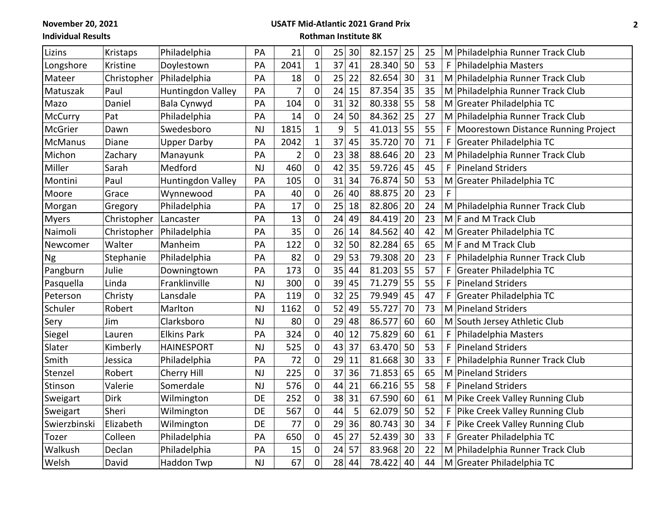**November 20, 2021**

# **USATF Mid-Atlantic 2021 Grand Prix**

**Individual Results**

### **Rothman Institute 8K**

| Lizins         | Kristaps    | Philadelphia       | PA        | 21             | 0                   | 25 | 30 | 82.157 | 25 | 25 |    | M Philadelphia Runner Track Club    |
|----------------|-------------|--------------------|-----------|----------------|---------------------|----|----|--------|----|----|----|-------------------------------------|
| Longshore      | Kristine    | Doylestown         | PA        | 2041           | $\mathbf{1}$        | 37 | 41 | 28.340 | 50 | 53 | F. | Philadelphia Masters                |
| Mateer         | Christopher | Philadelphia       | PA        | 18             | $\mathbf 0$         | 25 | 22 | 82.654 | 30 | 31 |    | M Philadelphia Runner Track Club    |
| Matuszak       | Paul        | Huntingdon Valley  | PA        | 7              | 0                   | 24 | 15 | 87.354 | 35 | 35 |    | M Philadelphia Runner Track Club    |
| Mazo           | Daniel      | Bala Cynwyd        | PA        | 104            | 0                   | 31 | 32 | 80.338 | 55 | 58 |    | M Greater Philadelphia TC           |
| McCurry        | Pat         | Philadelphia       | PA        | 14             | 0                   | 24 | 50 | 84.362 | 25 | 27 |    | M Philadelphia Runner Track Club    |
| McGrier        | Dawn        | Swedesboro         | <b>NJ</b> | 1815           | $\mathbf{1}$        | 9  | 5  | 41.013 | 55 | 55 | F. | Moorestown Distance Running Project |
| <b>McManus</b> | Diane       | <b>Upper Darby</b> | PA        | 2042           | $\mathbf 1$         | 37 | 45 | 35.720 | 70 | 71 | F  | Greater Philadelphia TC             |
| Michon         | Zachary     | Manayunk           | PA        | $\overline{2}$ | 0                   | 23 | 38 | 88.646 | 20 | 23 |    | M Philadelphia Runner Track Club    |
| Miller         | Sarah       | Medford            | <b>NJ</b> | 460            | $\mathsf{O}\xspace$ | 42 | 35 | 59.726 | 45 | 45 | F  | <b>Pineland Striders</b>            |
| Montini        | Paul        | Huntingdon Valley  | PA        | 105            | 0                   | 31 | 34 | 76.874 | 50 | 53 | M  | Greater Philadelphia TC             |
| Moore          | Grace       | Wynnewood          | PA        | 40             | $\mathbf 0$         | 26 | 40 | 88.875 | 20 | 23 | F  |                                     |
| Morgan         | Gregory     | Philadelphia       | PA        | 17             | 0                   | 25 | 18 | 82.806 | 20 | 24 |    | M Philadelphia Runner Track Club    |
| <b>Myers</b>   | Christopher | Lancaster          | PA        | 13             | $\mathsf{O}\xspace$ | 24 | 49 | 84.419 | 20 | 23 |    | M F and M Track Club                |
| Naimoli        | Christopher | Philadelphia       | PA        | 35             | $\mathbf 0$         | 26 | 14 | 84.562 | 40 | 42 |    | M Greater Philadelphia TC           |
| Newcomer       | Walter      | Manheim            | PA        | 122            | $\mathbf 0$         | 32 | 50 | 82.284 | 65 | 65 |    | M   F and M Track Club              |
| <b>Ng</b>      | Stephanie   | Philadelphia       | PA        | 82             | 0                   | 29 | 53 | 79.308 | 20 | 23 | F. | Philadelphia Runner Track Club      |
| Pangburn       | Julie       | Downingtown        | PA        | 173            | $\mathbf 0$         | 35 | 44 | 81.203 | 55 | 57 | F. | Greater Philadelphia TC             |
| Pasquella      | Linda       | Franklinville      | <b>NJ</b> | 300            | $\mathbf 0$         | 39 | 45 | 71.279 | 55 | 55 | F  | <b>Pineland Striders</b>            |
| Peterson       | Christy     | Lansdale           | PA        | 119            | 0                   | 32 | 25 | 79.949 | 45 | 47 | F. | Greater Philadelphia TC             |
| Schuler        | Robert      | Marlton            | <b>NJ</b> | 1162           | 0                   | 52 | 49 | 55.727 | 70 | 73 |    | M Pineland Striders                 |
| Sery           | Jim         | Clarksboro         | <b>NJ</b> | 80             | $\mathbf 0$         | 29 | 48 | 86.577 | 60 | 60 |    | M South Jersey Athletic Club        |
| Siegel         | Lauren      | <b>Elkins Park</b> | PA        | 324            | $\mathbf 0$         | 40 | 12 | 75.829 | 60 | 61 | F  | Philadelphia Masters                |
| Slater         | Kimberly    | <b>HAINESPORT</b>  | <b>NJ</b> | 525            | 0                   | 43 | 37 | 63.470 | 50 | 53 | F. | <b>Pineland Striders</b>            |
| Smith          | Jessica     | Philadelphia       | PA        | 72             | 0                   | 29 | 11 | 81.668 | 30 | 33 | F  | Philadelphia Runner Track Club      |
| Stenzel        | Robert      | Cherry Hill        | <b>NJ</b> | 225            | 0                   | 37 | 36 | 71.853 | 65 | 65 | M  | Pineland Striders                   |
| Stinson        | Valerie     | Somerdale          | <b>NJ</b> | 576            | $\mathbf 0$         | 44 | 21 | 66.216 | 55 | 58 | F  | <b>Pineland Striders</b>            |
| Sweigart       | Dirk        | Wilmington         | DE        | 252            | 0                   | 38 | 31 | 67.590 | 60 | 61 |    | M Pike Creek Valley Running Club    |
| Sweigart       | Sheri       | Wilmington         | DE        | 567            | $\mathbf 0$         | 44 | 5  | 62.079 | 50 | 52 | F  | Pike Creek Valley Running Club      |
| Swierzbinski   | Elizabeth   | Wilmington         | DE        | 77             | $\mathbf 0$         | 29 | 36 | 80.743 | 30 | 34 | F  | Pike Creek Valley Running Club      |
| Tozer          | Colleen     | Philadelphia       | PA        | 650            | $\mathbf 0$         | 45 | 27 | 52.439 | 30 | 33 | F  | Greater Philadelphia TC             |
| Walkush        | Declan      | Philadelphia       | PA        | 15             | 0                   | 24 | 57 | 83.968 | 20 | 22 | M  | Philadelphia Runner Track Club      |
| Welsh          | David       | Haddon Twp         | <b>NJ</b> | 67             | 0                   | 28 | 44 | 78.422 | 40 | 44 |    | M Greater Philadelphia TC           |